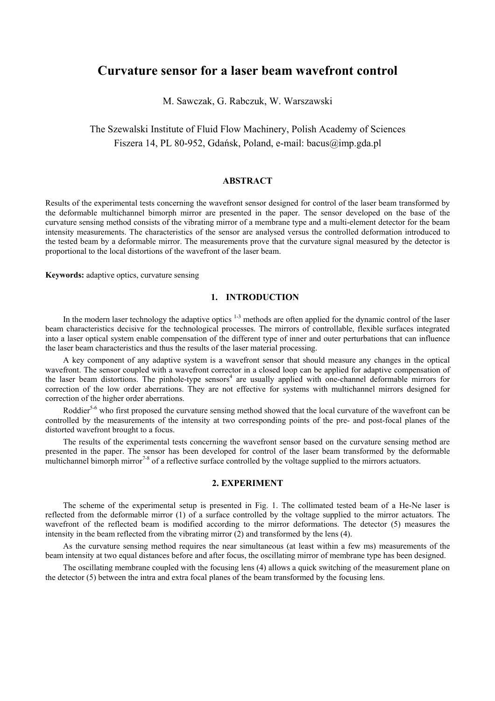# **Curvature sensor for a laser beam wavefront control**

M. Sawczak, G. Rabczuk, W. Warszawski

The Szewalski Institute of Fluid Flow Machinery, Polish Academy of Sciences Fiszera 14, PL 80-952, Gdańsk, Poland, e-mail: bacus@imp.gda.pl

## **ABSTRACT**

Results of the experimental tests concerning the wavefront sensor designed for control of the laser beam transformed by the deformable multichannel bimorph mirror are presented in the paper. The sensor developed on the base of the curvature sensing method consists of the vibrating mirror of a membrane type and a multi-element detector for the beam intensity measurements. The characteristics of the sensor are analysed versus the controlled deformation introduced to the tested beam by a deformable mirror. The measurements prove that the curvature signal measured by the detector is proportional to the local distortions of the wavefront of the laser beam.

**Keywords:** adaptive optics, curvature sensing

## **1. INTRODUCTION**

In the modern laser technology the adaptive optics  $1-3$  methods are often applied for the dynamic control of the laser beam characteristics decisive for the technological processes. The mirrors of controllable, flexible surfaces integrated into a laser optical system enable compensation of the different type of inner and outer perturbations that can influence the laser beam characteristics and thus the results of the laser material processing.

A key component of any adaptive system is a wavefront sensor that should measure any changes in the optical wavefront. The sensor coupled with a wavefront corrector in a closed loop can be applied for adaptive compensation of the laser beam distortions. The pinhole-type sensors<sup>4</sup> are usually applied with one-channel deformable mirrors for correction of the low order aberrations. They are not effective for systems with multichannel mirrors designed for correction of the higher order aberrations.

Roddier<sup>5-6</sup> who first proposed the curvature sensing method showed that the local curvature of the wavefront can be controlled by the measurements of the intensity at two corresponding points of the pre- and post-focal planes of the distorted wavefront brought to a focus.

The results of the experimental tests concerning the wavefront sensor based on the curvature sensing method are presented in the paper. The sensor has been developed for control of the laser beam transformed by the deformable multichannel bimorph mirror<sup>7-8</sup> of a reflective surface controlled by the voltage supplied to the mirrors actuators.

## **2. EXPERIMENT**

The scheme of the experimental setup is presented in Fig. 1. The collimated tested beam of a He-Ne laser is reflected from the deformable mirror (1) of a surface controlled by the voltage supplied to the mirror actuators. The wavefront of the reflected beam is modified according to the mirror deformations. The detector (5) measures the intensity in the beam reflected from the vibrating mirror (2) and transformed by the lens (4).

As the curvature sensing method requires the near simultaneous (at least within a few ms) measurements of the beam intensity at two equal distances before and after focus, the oscillating mirror of membrane type has been designed.

The oscillating membrane coupled with the focusing lens (4) allows a quick switching of the measurement plane on the detector (5) between the intra and extra focal planes of the beam transformed by the focusing lens.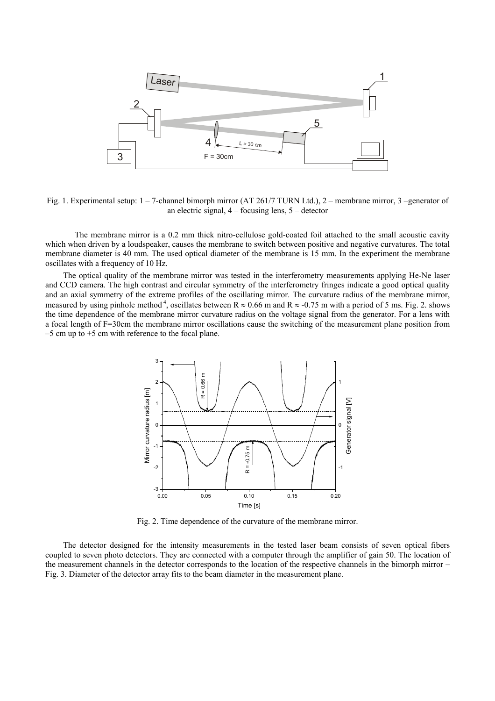

Fig. 1. Experimental setup: 1 – 7-channel bimorph mirror (AT 261/7 TURN Ltd.), 2 – membrane mirror, 3 –generator of an electric signal, 4 – focusing lens, 5 – detector

The membrane mirror is a 0.2 mm thick nitro-cellulose gold-coated foil attached to the small acoustic cavity which when driven by a loudspeaker, causes the membrane to switch between positive and negative curvatures. The total membrane diameter is 40 mm. The used optical diameter of the membrane is 15 mm. In the experiment the membrane oscillates with a frequency of 10 Hz.

The optical quality of the membrane mirror was tested in the interferometry measurements applying He-Ne laser and CCD camera. The high contrast and circular symmetry of the interferometry fringes indicate a good optical quality and an axial symmetry of the extreme profiles of the oscillating mirror. The curvature radius of the membrane mirror, measured by using pinhole method<sup>4</sup>, oscillates between R  $\approx 0.66$  m and R  $\approx -0.75$  m with a period of 5 ms. Fig. 2. shows the time dependence of the membrane mirror curvature radius on the voltage signal from the generator. For a lens with a focal length of F=30cm the membrane mirror oscillations cause the switching of the measurement plane position from  $-5$  cm up to  $+5$  cm with reference to the focal plane.



Fig. 2. Time dependence of the curvature of the membrane mirror.

The detector designed for the intensity measurements in the tested laser beam consists of seven optical fibers coupled to seven photo detectors. They are connected with a computer through the amplifier of gain 50. The location of the measurement channels in the detector corresponds to the location of the respective channels in the bimorph mirror – Fig. 3. Diameter of the detector array fits to the beam diameter in the measurement plane.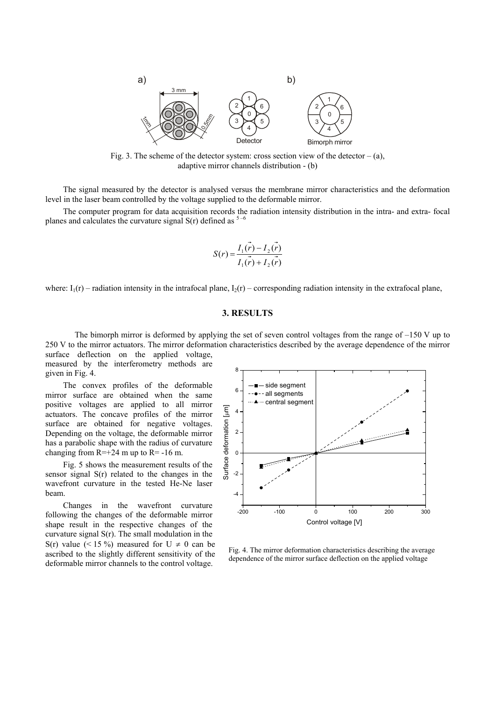

Fig. 3. The scheme of the detector system: cross section view of the detector  $- (a)$ , adaptive mirror channels distribution - (b)

The signal measured by the detector is analysed versus the membrane mirror characteristics and the deformation level in the laser beam controlled by the voltage supplied to the deformable mirror.

The computer program for data acquisition records the radiation intensity distribution in the intra- and extra- focal planes and calculates the curvature signal  $S(r)$  defined as  $5-6$ 

$$
S(r) = \frac{I_1(r) - I_2(r)}{I_1(r) + I_2(r)}
$$

where:  $I_1(r)$  – radiation intensity in the intrafocal plane,  $I_2(r)$  – corresponding radiation intensity in the extrafocal plane,

#### **3. RESULTS**

The bimorph mirror is deformed by applying the set of seven control voltages from the range of –150 V up to 250 V to the mirror actuators. The mirror deformation characteristics described by the average dependence of the mirror surface deflection on the applied voltage,

measured by the interferometry methods are given in Fig. 4.

The convex profiles of the deformable mirror surface are obtained when the same positive voltages are applied to all mirror actuators. The concave profiles of the mirror surface are obtained for negative voltages. Depending on the voltage, the deformable mirror has a parabolic shape with the radius of curvature changing from  $R=+24$  m up to  $R= -16$  m.

Fig. 5 shows the measurement results of the sensor signal S(r) related to the changes in the wavefront curvature in the tested He-Ne laser beam.

Changes in the wavefront curvature following the changes of the deformable mirror shape result in the respective changes of the curvature signal S(r). The small modulation in the S(r) value  $(< 15\%$ ) measured for U  $\neq$  0 can be ascribed to the slightly different sensitivity of the deformable mirror channels to the control voltage.



Fig. 4. The mirror deformation characteristics describing the average dependence of the mirror surface deflection on the applied voltage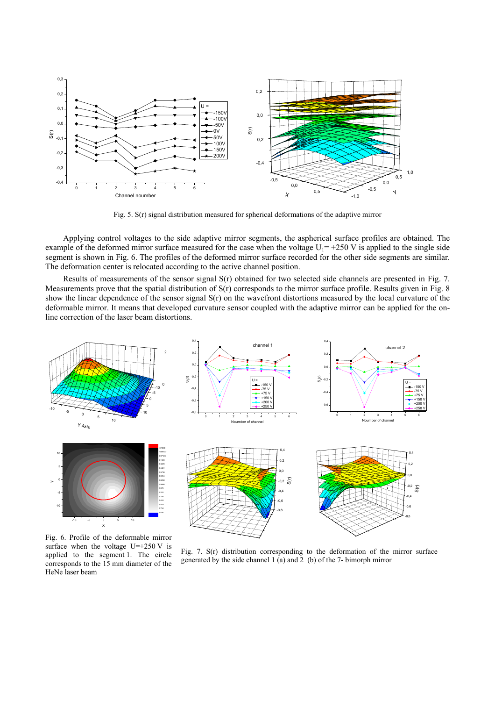

Fig. 5. S(r) signal distribution measured for spherical deformations of the adaptive mirror

Applying control voltages to the side adaptive mirror segments, the aspherical surface profiles are obtained. The example of the deformed mirror surface measured for the case when the voltage  $U_1 = +250$  V is applied to the single side segment is shown in Fig. 6. The profiles of the deformed mirror surface recorded for the other side segments are similar. The deformation center is relocated according to the active channel position.

Results of measurements of the sensor signal S(r) obtained for two selected side channels are presented in Fig. 7. Measurements prove that the spatial distribution of  $S(r)$  corresponds to the mirror surface profile. Results given in Fig. 8 show the linear dependence of the sensor signal S(r) on the wavefront distortions measured by the local curvature of the deformable mirror. It means that developed curvature sensor coupled with the adaptive mirror can be applied for the online correction of the laser beam distortions.



Fig. 6. Profile of the deformable mirror surface when the voltage  $U=+250$  V is applied to the segment 1. The circle corresponds to the 15 mm diameter of the HeNe laser beam

Fig. 7. S(r) distribution corresponding to the deformation of the mirror surface generated by the side channel 1 (a) and 2 (b) of the 7- bimorph mirror